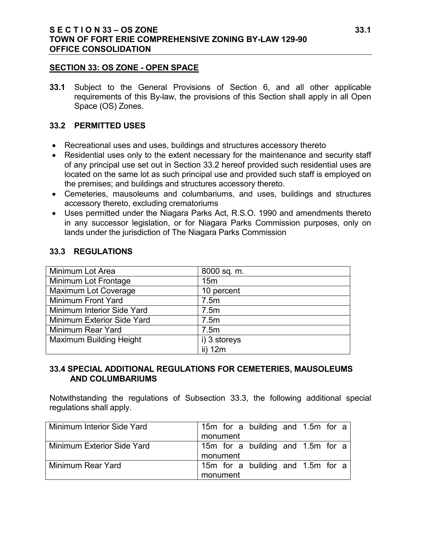#### **S E C T I O N 33 – OS ZONE 33.1 TOWN OF FORT ERIE COMPREHENSIVE ZONING BY-LAW 129-90 OFFICE CONSOLIDATION**

#### **SECTION 33: OS ZONE - OPEN SPACE**

**33.1** Subject to the General Provisions of Section 6, and all other applicable requirements of this By-law, the provisions of this Section shall apply in all Open Space (OS) Zones.

#### **33.2 PERMITTED USES**

- Recreational uses and uses, buildings and structures accessory thereto
- Residential uses only to the extent necessary for the maintenance and security staff of any principal use set out in Section 33.2 hereof provided such residential uses are located on the same lot as such principal use and provided such staff is employed on the premises; and buildings and structures accessory thereto.
- Cemeteries, mausoleums and columbariums, and uses, buildings and structures accessory thereto, excluding crematoriums
- Uses permitted under the Niagara Parks Act, R.S.O. 1990 and amendments thereto in any successor legislation, or for Niagara Parks Commission purposes, only on lands under the jurisdiction of The Niagara Parks Commission

#### **33.3 REGULATIONS**

| Minimum Lot Area               | 8000 sq. m.     |
|--------------------------------|-----------------|
| Minimum Lot Frontage           | 15 <sub>m</sub> |
| Maximum Lot Coverage           | 10 percent      |
| Minimum Front Yard             | 7.5m            |
| Minimum Interior Side Yard     | 7.5m            |
| Minimum Exterior Side Yard     | 7.5m            |
| Minimum Rear Yard              | 7.5m            |
| <b>Maximum Building Height</b> | i) 3 storeys    |
|                                | ii) 12m         |

### **33.4 SPECIAL ADDITIONAL REGULATIONS FOR CEMETERIES, MAUSOLEUMS AND COLUMBARIUMS**

Notwithstanding the regulations of Subsection 33.3, the following additional special regulations shall apply.

| Minimum Interior Side Yard | 15m for a building and 1.5m for a |
|----------------------------|-----------------------------------|
|                            | monument                          |
| Minimum Exterior Side Yard | 15m for a building and 1.5m for a |
|                            | monument                          |
| Minimum Rear Yard          | 15m for a building and 1.5m for a |
|                            | monument                          |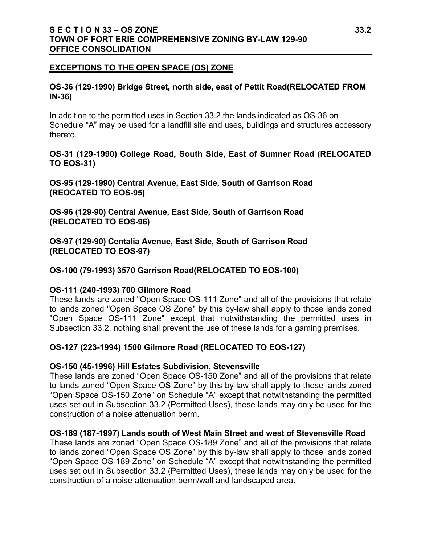### **S E C T I O N 33 – OS ZONE 33.2 TOWN OF FORT ERIE COMPREHENSIVE ZONING BY-LAW 129-90 OFFICE CONSOLIDATION**

#### **EXCEPTIONS TO THE OPEN SPACE (OS) ZONE**

#### **OS-36 (129-1990) Bridge Street, north side, east of Pettit Road(RELOCATED FROM IN-36)**

In addition to the permitted uses in Section 33.2 the lands indicated as OS-36 on Schedule "A" may be used for a landfill site and uses, buildings and structures accessory thereto.

**OS-31 (129-1990) College Road, South Side, East of Sumner Road (RELOCATED TO EOS-31)**

**OS-95 (129-1990) Central Avenue, East Side, South of Garrison Road (REOCATED TO EOS-95)**

**OS-96 (129-90) Central Avenue, East Side, South of Garrison Road (RELOCATED TO EOS-96)** 

**OS-97 (129-90) Centalia Avenue, East Side, South of Garrison Road (RELOCATED TO EOS-97)**

#### **OS-100 (79-1993) 3570 Garrison Road(RELOCATED TO EOS-100)**

#### **OS-111 (240-1993) 700 Gilmore Road**

These lands are zoned "Open Space OS-111 Zone" and all of the provisions that relate to lands zoned "Open Space OS Zone" by this by-law shall apply to those lands zoned "Open Space OS-111 Zone" except that notwithstanding the permitted uses in Subsection 33.2, nothing shall prevent the use of these lands for a gaming premises.

### **OS-127 (223-1994) 1500 Gilmore Road (RELOCATED TO EOS-127)**

#### **OS-150 (45-1996) Hill Estates Subdivision, Stevensville**

These lands are zoned "Open Space OS-150 Zone" and all of the provisions that relate to lands zoned "Open Space OS Zone" by this by-law shall apply to those lands zoned "Open Space OS-150 Zone" on Schedule "A" except that notwithstanding the permitted uses set out in Subsection 33.2 (Permitted Uses), these lands may only be used for the construction of a noise attenuation berm.

#### **OS-189 (187-1997) Lands south of West Main Street and west of Stevensville Road**

These lands are zoned "Open Space OS-189 Zone" and all of the provisions that relate to lands zoned "Open Space OS Zone" by this by-law shall apply to those lands zoned "Open Space OS-189 Zone" on Schedule "A" except that notwithstanding the permitted uses set out in Subsection 33.2 (Permitted Uses), these lands may only be used for the construction of a noise attenuation berm/wall and landscaped area.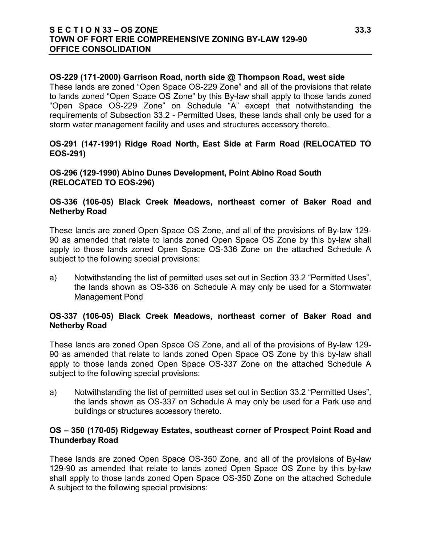#### **S E C T I O N 33 – OS ZONE 33.3 TOWN OF FORT ERIE COMPREHENSIVE ZONING BY-LAW 129-90 OFFICE CONSOLIDATION**

#### **OS-229 (171-2000) Garrison Road, north side @ Thompson Road, west side**

These lands are zoned "Open Space OS-229 Zone" and all of the provisions that relate to lands zoned "Open Space OS Zone" by this By-law shall apply to those lands zoned "Open Space OS-229 Zone" on Schedule "A" except that notwithstanding the requirements of Subsection 33.2 - Permitted Uses, these lands shall only be used for a storm water management facility and uses and structures accessory thereto.

#### **OS-291 (147-1991) Ridge Road North, East Side at Farm Road (RELOCATED TO EOS-291)**

**OS-296 (129-1990) Abino Dunes Development, Point Abino Road South (RELOCATED TO EOS-296)**

#### **OS-336 (106-05) Black Creek Meadows, northeast corner of Baker Road and Netherby Road**

These lands are zoned Open Space OS Zone, and all of the provisions of By-law 129- 90 as amended that relate to lands zoned Open Space OS Zone by this by-law shall apply to those lands zoned Open Space OS-336 Zone on the attached Schedule A subject to the following special provisions:

a) Notwithstanding the list of permitted uses set out in Section 33.2 "Permitted Uses", the lands shown as OS-336 on Schedule A may only be used for a Stormwater Management Pond

#### **OS-337 (106-05) Black Creek Meadows, northeast corner of Baker Road and Netherby Road**

These lands are zoned Open Space OS Zone, and all of the provisions of By-law 129- 90 as amended that relate to lands zoned Open Space OS Zone by this by-law shall apply to those lands zoned Open Space OS-337 Zone on the attached Schedule A subject to the following special provisions:

a) Notwithstanding the list of permitted uses set out in Section 33.2 "Permitted Uses", the lands shown as OS-337 on Schedule A may only be used for a Park use and buildings or structures accessory thereto.

#### **OS – 350 (170-05) Ridgeway Estates, southeast corner of Prospect Point Road and Thunderbay Road**

These lands are zoned Open Space OS-350 Zone, and all of the provisions of By-law 129-90 as amended that relate to lands zoned Open Space OS Zone by this by-law shall apply to those lands zoned Open Space OS-350 Zone on the attached Schedule A subject to the following special provisions: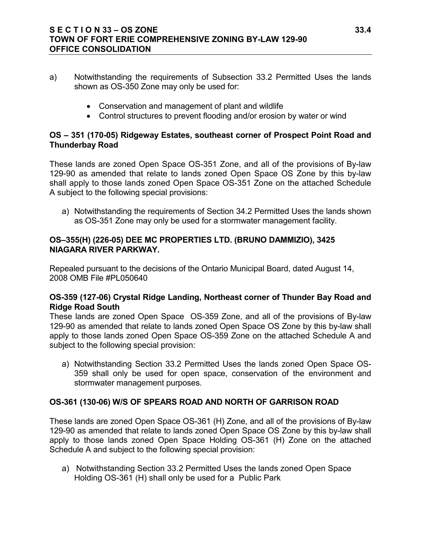### **S E C T I O N 33 – OS ZONE 33.4 TOWN OF FORT ERIE COMPREHENSIVE ZONING BY-LAW 129-90 OFFICE CONSOLIDATION**

- a) Notwithstanding the requirements of Subsection 33.2 Permitted Uses the lands shown as OS-350 Zone may only be used for:
	- Conservation and management of plant and wildlife
	- Control structures to prevent flooding and/or erosion by water or wind

# **OS – 351 (170-05) Ridgeway Estates, southeast corner of Prospect Point Road and Thunderbay Road**

These lands are zoned Open Space OS-351 Zone, and all of the provisions of By-law 129-90 as amended that relate to lands zoned Open Space OS Zone by this by-law shall apply to those lands zoned Open Space OS-351 Zone on the attached Schedule A subject to the following special provisions:

a) Notwithstanding the requirements of Section 34.2 Permitted Uses the lands shown as OS-351 Zone may only be used for a stormwater management facility.

### **OS–355(H) (226-05) DEE MC PROPERTIES LTD. (BRUNO DAMMIZIO), 3425 NIAGARA RIVER PARKWAY.**

Repealed pursuant to the decisions of the Ontario Municipal Board, dated August 14, 2008 OMB File #PL050640

## **OS-359 (127-06) Crystal Ridge Landing, Northeast corner of Thunder Bay Road and Ridge Road South**

These lands are zoned Open Space OS-359 Zone, and all of the provisions of By-law 129-90 as amended that relate to lands zoned Open Space OS Zone by this by-law shall apply to those lands zoned Open Space OS-359 Zone on the attached Schedule A and subject to the following special provision:

a) Notwithstanding Section 33.2 Permitted Uses the lands zoned Open Space OS-359 shall only be used for open space, conservation of the environment and stormwater management purposes.

# **OS-361 (130-06) W/S OF SPEARS ROAD AND NORTH OF GARRISON ROAD**

These lands are zoned Open Space OS-361 (H) Zone, and all of the provisions of By-law 129-90 as amended that relate to lands zoned Open Space OS Zone by this by-law shall apply to those lands zoned Open Space Holding OS-361 (H) Zone on the attached Schedule A and subject to the following special provision:

a) Notwithstanding Section 33.2 Permitted Uses the lands zoned Open Space Holding OS-361 (H) shall only be used for a Public Park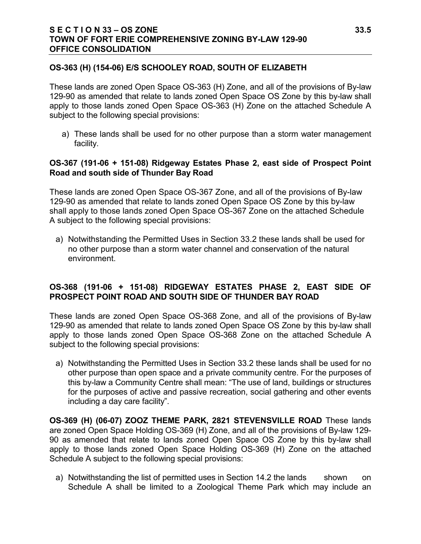### **S E C T I O N 33 – OS ZONE 33.5 TOWN OF FORT ERIE COMPREHENSIVE ZONING BY-LAW 129-90 OFFICE CONSOLIDATION**

### **OS-363 (H) (154-06) E/S SCHOOLEY ROAD, SOUTH OF ELIZABETH**

These lands are zoned Open Space OS-363 (H) Zone, and all of the provisions of By-law 129-90 as amended that relate to lands zoned Open Space OS Zone by this by-law shall apply to those lands zoned Open Space OS-363 (H) Zone on the attached Schedule A subject to the following special provisions:

a) These lands shall be used for no other purpose than a storm water management facility.

### **OS-367 (191-06 + 151-08) Ridgeway Estates Phase 2, east side of Prospect Point Road and south side of Thunder Bay Road**

These lands are zoned Open Space OS-367 Zone, and all of the provisions of By-law 129-90 as amended that relate to lands zoned Open Space OS Zone by this by-law shall apply to those lands zoned Open Space OS-367 Zone on the attached Schedule A subject to the following special provisions:

a) Notwithstanding the Permitted Uses in Section 33.2 these lands shall be used for no other purpose than a storm water channel and conservation of the natural environment.

## **OS-368 (191-06 + 151-08) RIDGEWAY ESTATES PHASE 2, EAST SIDE OF PROSPECT POINT ROAD AND SOUTH SIDE OF THUNDER BAY ROAD**

These lands are zoned Open Space OS-368 Zone, and all of the provisions of By-law 129-90 as amended that relate to lands zoned Open Space OS Zone by this by-law shall apply to those lands zoned Open Space OS-368 Zone on the attached Schedule A subject to the following special provisions:

a) Notwithstanding the Permitted Uses in Section 33.2 these lands shall be used for no other purpose than open space and a private community centre. For the purposes of this by-law a Community Centre shall mean: "The use of land, buildings or structures for the purposes of active and passive recreation, social gathering and other events including a day care facility".

**OS-369 (H) (06-07) ZOOZ THEME PARK, 2821 STEVENSVILLE ROAD** These lands are zoned Open Space Holding OS-369 (H) Zone, and all of the provisions of By-law 129- 90 as amended that relate to lands zoned Open Space OS Zone by this by-law shall apply to those lands zoned Open Space Holding OS-369 (H) Zone on the attached Schedule A subject to the following special provisions:

a) Notwithstanding the list of permitted uses in Section 14.2 the lands shown on Schedule A shall be limited to a Zoological Theme Park which may include an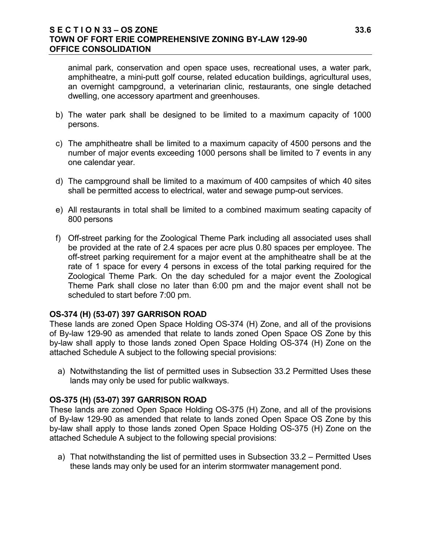#### **S E C T I O N 33 – OS ZONE 33.6 TOWN OF FORT ERIE COMPREHENSIVE ZONING BY-LAW 129-90 OFFICE CONSOLIDATION**

animal park, conservation and open space uses, recreational uses, a water park, amphitheatre, a mini-putt golf course, related education buildings, agricultural uses, an overnight campground, a veterinarian clinic, restaurants, one single detached dwelling, one accessory apartment and greenhouses.

- b) The water park shall be designed to be limited to a maximum capacity of 1000 persons.
- c) The amphitheatre shall be limited to a maximum capacity of 4500 persons and the number of major events exceeding 1000 persons shall be limited to 7 events in any one calendar year.
- d) The campground shall be limited to a maximum of 400 campsites of which 40 sites shall be permitted access to electrical, water and sewage pump-out services.
- e) All restaurants in total shall be limited to a combined maximum seating capacity of 800 persons
- f) Off-street parking for the Zoological Theme Park including all associated uses shall be provided at the rate of 2.4 spaces per acre plus 0.80 spaces per employee. The off-street parking requirement for a major event at the amphitheatre shall be at the rate of 1 space for every 4 persons in excess of the total parking required for the Zoological Theme Park. On the day scheduled for a major event the Zoological Theme Park shall close no later than 6:00 pm and the major event shall not be scheduled to start before 7:00 pm.

### **OS-374 (H) (53-07) 397 GARRISON ROAD**

These lands are zoned Open Space Holding OS-374 (H) Zone, and all of the provisions of By-law 129-90 as amended that relate to lands zoned Open Space OS Zone by this by-law shall apply to those lands zoned Open Space Holding OS-374 (H) Zone on the attached Schedule A subject to the following special provisions:

a) Notwithstanding the list of permitted uses in Subsection 33.2 Permitted Uses these lands may only be used for public walkways.

#### **OS-375 (H) (53-07) 397 GARRISON ROAD**

These lands are zoned Open Space Holding OS-375 (H) Zone, and all of the provisions of By-law 129-90 as amended that relate to lands zoned Open Space OS Zone by this by-law shall apply to those lands zoned Open Space Holding OS-375 (H) Zone on the attached Schedule A subject to the following special provisions:

a) That notwithstanding the list of permitted uses in Subsection 33.2 – Permitted Uses these lands may only be used for an interim stormwater management pond.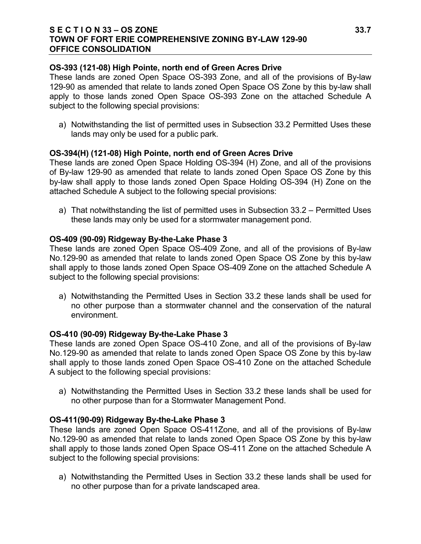#### **S E C T I O N 33 – OS ZONE 33.7 TOWN OF FORT ERIE COMPREHENSIVE ZONING BY-LAW 129-90 OFFICE CONSOLIDATION**

### **OS-393 (121-08) High Pointe, north end of Green Acres Drive**

These lands are zoned Open Space OS-393 Zone, and all of the provisions of By-law 129-90 as amended that relate to lands zoned Open Space OS Zone by this by-law shall apply to those lands zoned Open Space OS-393 Zone on the attached Schedule A subject to the following special provisions:

a) Notwithstanding the list of permitted uses in Subsection 33.2 Permitted Uses these lands may only be used for a public park.

#### **OS-394(H) (121-08) High Pointe, north end of Green Acres Drive**

These lands are zoned Open Space Holding OS-394 (H) Zone, and all of the provisions of By-law 129-90 as amended that relate to lands zoned Open Space OS Zone by this by-law shall apply to those lands zoned Open Space Holding OS-394 (H) Zone on the attached Schedule A subject to the following special provisions:

a) That notwithstanding the list of permitted uses in Subsection 33.2 – Permitted Uses these lands may only be used for a stormwater management pond.

#### **OS-409 (90-09) Ridgeway By-the-Lake Phase 3**

These lands are zoned Open Space OS-409 Zone, and all of the provisions of By-law No.129-90 as amended that relate to lands zoned Open Space OS Zone by this by-law shall apply to those lands zoned Open Space OS-409 Zone on the attached Schedule A subject to the following special provisions:

a) Notwithstanding the Permitted Uses in Section 33.2 these lands shall be used for no other purpose than a stormwater channel and the conservation of the natural environment.

#### **OS-410 (90-09) Ridgeway By-the-Lake Phase 3**

These lands are zoned Open Space OS-410 Zone, and all of the provisions of By-law No.129-90 as amended that relate to lands zoned Open Space OS Zone by this by-law shall apply to those lands zoned Open Space OS-410 Zone on the attached Schedule A subject to the following special provisions:

a) Notwithstanding the Permitted Uses in Section 33.2 these lands shall be used for no other purpose than for a Stormwater Management Pond.

#### **OS-411(90-09) Ridgeway By-the-Lake Phase 3**

These lands are zoned Open Space OS-411Zone, and all of the provisions of By-law No.129-90 as amended that relate to lands zoned Open Space OS Zone by this by-law shall apply to those lands zoned Open Space OS-411 Zone on the attached Schedule A subject to the following special provisions:

a) Notwithstanding the Permitted Uses in Section 33.2 these lands shall be used for no other purpose than for a private landscaped area.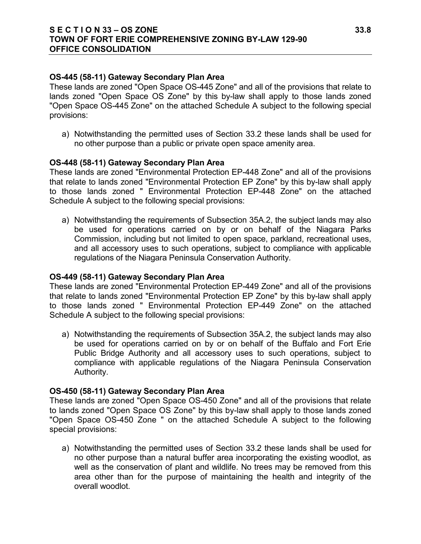### **S E C T I O N 33 – OS ZONE 33.8 TOWN OF FORT ERIE COMPREHENSIVE ZONING BY-LAW 129-90 OFFICE CONSOLIDATION**

#### **OS-445 (58-11) Gateway Secondary Plan Area**

These lands are zoned "Open Space OS-445 Zone" and all of the provisions that relate to lands zoned "Open Space OS Zone" by this by-law shall apply to those lands zoned "Open Space OS-445 Zone" on the attached Schedule A subject to the following special provisions:

a) Notwithstanding the permitted uses of Section 33.2 these lands shall be used for no other purpose than a public or private open space amenity area.

#### **OS-448 (58-11) Gateway Secondary Plan Area**

These lands are zoned "Environmental Protection EP-448 Zone" and all of the provisions that relate to lands zoned "Environmental Protection EP Zone" by this by-law shall apply to those lands zoned " Environmental Protection EP-448 Zone" on the attached Schedule A subject to the following special provisions:

a) Notwithstanding the requirements of Subsection 35A.2, the subject lands may also be used for operations carried on by or on behalf of the Niagara Parks Commission, including but not limited to open space, parkland, recreational uses, and all accessory uses to such operations, subject to compliance with applicable regulations of the Niagara Peninsula Conservation Authority.

#### **OS-449 (58-11) Gateway Secondary Plan Area**

These lands are zoned "Environmental Protection EP-449 Zone" and all of the provisions that relate to lands zoned "Environmental Protection EP Zone" by this by-law shall apply to those lands zoned " Environmental Protection EP-449 Zone" on the attached Schedule A subject to the following special provisions:

a) Notwithstanding the requirements of Subsection 35A.2, the subject lands may also be used for operations carried on by or on behalf of the Buffalo and Fort Erie Public Bridge Authority and all accessory uses to such operations, subject to compliance with applicable regulations of the Niagara Peninsula Conservation Authority.

#### **OS-450 (58-11) Gateway Secondary Plan Area**

These lands are zoned "Open Space OS-450 Zone" and all of the provisions that relate to lands zoned "Open Space OS Zone" by this by-law shall apply to those lands zoned "Open Space OS-450 Zone " on the attached Schedule A subject to the following special provisions:

a) Notwithstanding the permitted uses of Section 33.2 these lands shall be used for no other purpose than a natural buffer area incorporating the existing woodlot, as well as the conservation of plant and wildlife. No trees may be removed from this area other than for the purpose of maintaining the health and integrity of the overall woodlot.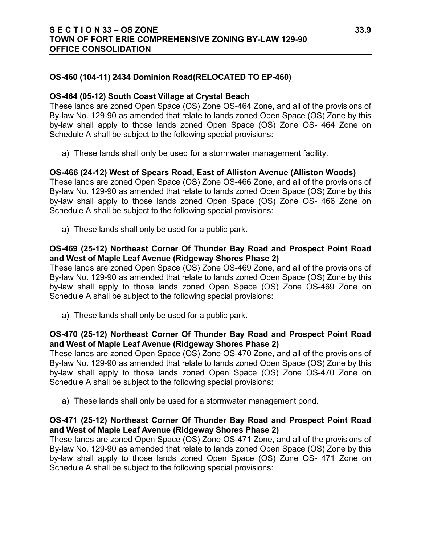## **OS-460 (104-11) 2434 Dominion Road(RELOCATED TO EP-460)**

### **OS-464 (05-12) South Coast Village at Crystal Beach**

These lands are zoned Open Space (OS) Zone OS-464 Zone, and all of the provisions of By-law No. 129-90 as amended that relate to lands zoned Open Space (OS) Zone by this by-law shall apply to those lands zoned Open Space (OS) Zone OS- 464 Zone on Schedule A shall be subject to the following special provisions:

a) These lands shall only be used for a stormwater management facility.

## **OS-466 (24-12) West of Spears Road, East of Alliston Avenue (Alliston Woods)**

These lands are zoned Open Space (OS) Zone OS-466 Zone, and all of the provisions of By-law No. 129-90 as amended that relate to lands zoned Open Space (OS) Zone by this by-law shall apply to those lands zoned Open Space (OS) Zone OS- 466 Zone on Schedule A shall be subject to the following special provisions:

a) These lands shall only be used for a public park.

### **OS-469 (25-12) Northeast Corner Of Thunder Bay Road and Prospect Point Road and West of Maple Leaf Avenue (Ridgeway Shores Phase 2)**

These lands are zoned Open Space (OS) Zone OS-469 Zone, and all of the provisions of By-law No. 129-90 as amended that relate to lands zoned Open Space (OS) Zone by this by-law shall apply to those lands zoned Open Space (OS) Zone OS-469 Zone on Schedule A shall be subject to the following special provisions:

a) These lands shall only be used for a public park.

## **OS-470 (25-12) Northeast Corner Of Thunder Bay Road and Prospect Point Road and West of Maple Leaf Avenue (Ridgeway Shores Phase 2)**

These lands are zoned Open Space (OS) Zone OS-470 Zone, and all of the provisions of By-law No. 129-90 as amended that relate to lands zoned Open Space (OS) Zone by this by-law shall apply to those lands zoned Open Space (OS) Zone OS-470 Zone on Schedule A shall be subject to the following special provisions:

a) These lands shall only be used for a stormwater management pond.

## **OS-471 (25-12) Northeast Corner Of Thunder Bay Road and Prospect Point Road and West of Maple Leaf Avenue (Ridgeway Shores Phase 2)**

These lands are zoned Open Space (OS) Zone OS-471 Zone, and all of the provisions of By-law No. 129-90 as amended that relate to lands zoned Open Space (OS) Zone by this by-law shall apply to those lands zoned Open Space (OS) Zone OS- 471 Zone on Schedule A shall be subject to the following special provisions: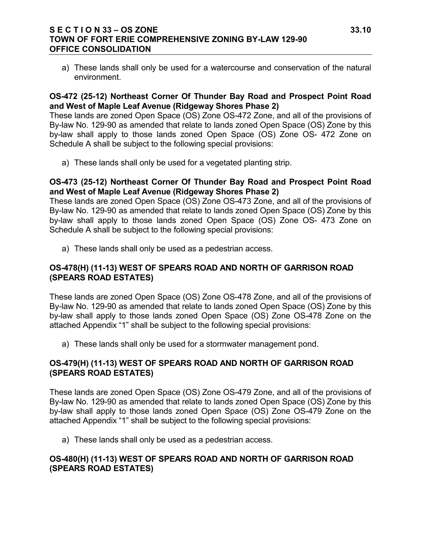### **S E C T I O N 33 – OS ZONE 33.10 TOWN OF FORT ERIE COMPREHENSIVE ZONING BY-LAW 129-90 OFFICE CONSOLIDATION**

a) These lands shall only be used for a watercourse and conservation of the natural environment.

## **OS-472 (25-12) Northeast Corner Of Thunder Bay Road and Prospect Point Road and West of Maple Leaf Avenue (Ridgeway Shores Phase 2)**

These lands are zoned Open Space (OS) Zone OS-472 Zone, and all of the provisions of By-law No. 129-90 as amended that relate to lands zoned Open Space (OS) Zone by this by-law shall apply to those lands zoned Open Space (OS) Zone OS- 472 Zone on Schedule A shall be subject to the following special provisions:

a) These lands shall only be used for a vegetated planting strip.

#### **OS-473 (25-12) Northeast Corner Of Thunder Bay Road and Prospect Point Road and West of Maple Leaf Avenue (Ridgeway Shores Phase 2)**

These lands are zoned Open Space (OS) Zone OS-473 Zone, and all of the provisions of By-law No. 129-90 as amended that relate to lands zoned Open Space (OS) Zone by this by-law shall apply to those lands zoned Open Space (OS) Zone OS- 473 Zone on Schedule A shall be subject to the following special provisions:

a) These lands shall only be used as a pedestrian access.

## **OS-478(H) (11-13) WEST OF SPEARS ROAD AND NORTH OF GARRISON ROAD (SPEARS ROAD ESTATES)**

These lands are zoned Open Space (OS) Zone OS-478 Zone, and all of the provisions of By-law No. 129-90 as amended that relate to lands zoned Open Space (OS) Zone by this by-law shall apply to those lands zoned Open Space (OS) Zone OS-478 Zone on the attached Appendix "1" shall be subject to the following special provisions:

a) These lands shall only be used for a stormwater management pond.

### **OS-479(H) (11-13) WEST OF SPEARS ROAD AND NORTH OF GARRISON ROAD (SPEARS ROAD ESTATES)**

These lands are zoned Open Space (OS) Zone OS-479 Zone, and all of the provisions of By-law No. 129-90 as amended that relate to lands zoned Open Space (OS) Zone by this by-law shall apply to those lands zoned Open Space (OS) Zone OS-479 Zone on the attached Appendix "1" shall be subject to the following special provisions:

a) These lands shall only be used as a pedestrian access.

### **OS-480(H) (11-13) WEST OF SPEARS ROAD AND NORTH OF GARRISON ROAD (SPEARS ROAD ESTATES)**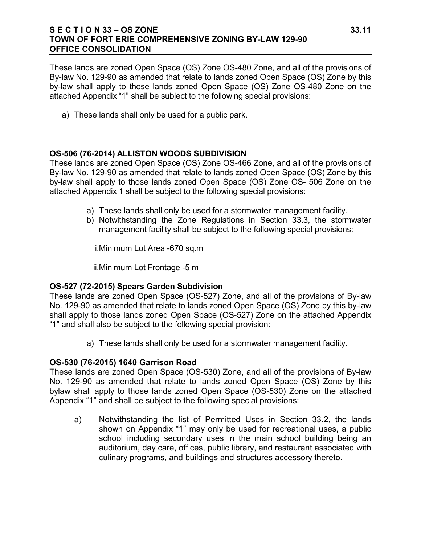### **S E C T I O N 33 – OS ZONE 33.11 TOWN OF FORT ERIE COMPREHENSIVE ZONING BY-LAW 129-90 OFFICE CONSOLIDATION**

These lands are zoned Open Space (OS) Zone OS-480 Zone, and all of the provisions of By-law No. 129-90 as amended that relate to lands zoned Open Space (OS) Zone by this by-law shall apply to those lands zoned Open Space (OS) Zone OS-480 Zone on the attached Appendix "1" shall be subject to the following special provisions:

a) These lands shall only be used for a public park.

## **OS-506 (76-2014) ALLISTON WOODS SUBDIVISION**

These lands are zoned Open Space (OS) Zone OS-466 Zone, and all of the provisions of By-law No. 129-90 as amended that relate to lands zoned Open Space (OS) Zone by this by-law shall apply to those lands zoned Open Space (OS) Zone OS- 506 Zone on the attached Appendix 1 shall be subject to the following special provisions:

- a) These lands shall only be used for a stormwater management facility.
- b) Notwithstanding the Zone Regulations in Section 33.3, the stormwater management facility shall be subject to the following special provisions:

i.Minimum Lot Area -670 sq.m

ii.Minimum Lot Frontage -5 m

# **OS-527 (72-2015) Spears Garden Subdivision**

These lands are zoned Open Space (OS-527) Zone, and all of the provisions of By-law No. 129-90 as amended that relate to lands zoned Open Space (OS) Zone by this by-law shall apply to those lands zoned Open Space (OS-527) Zone on the attached Appendix "1" and shall also be subject to the following special provision:

a) These lands shall only be used for a stormwater management facility.

# **OS-530 (76-2015) 1640 Garrison Road**

These lands are zoned Open Space (OS-530) Zone, and all of the provisions of By-law No. 129-90 as amended that relate to lands zoned Open Space (OS) Zone by this bylaw shall apply to those lands zoned Open Space (OS-530) Zone on the attached Appendix "1" and shall be subject to the following special provisions:

a) Notwithstanding the list of Permitted Uses in Section 33.2, the lands shown on Appendix "1" may only be used for recreational uses, a public school including secondary uses in the main school building being an auditorium, day care, offices, public library, and restaurant associated with culinary programs, and buildings and structures accessory thereto.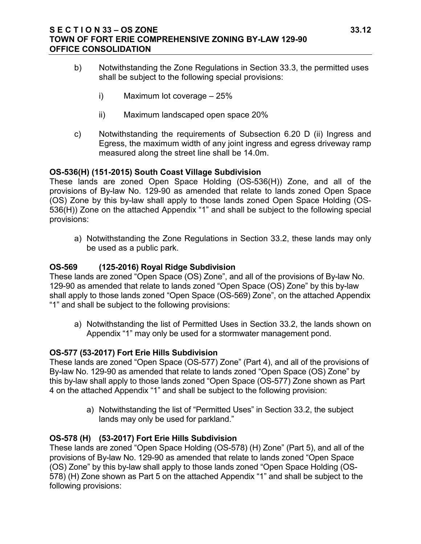### **S E C T I O N 33 – OS ZONE 33.12 TOWN OF FORT ERIE COMPREHENSIVE ZONING BY-LAW 129-90 OFFICE CONSOLIDATION**

- b) Notwithstanding the Zone Regulations in Section 33.3, the permitted uses shall be subject to the following special provisions:
	- i) Maximum lot coverage 25%
	- ii) Maximum landscaped open space 20%
- c) Notwithstanding the requirements of Subsection 6.20 D (ii) Ingress and Egress, the maximum width of any joint ingress and egress driveway ramp measured along the street line shall be 14.0m.

## **OS-536(H) (151-2015) South Coast Village Subdivision**

These lands are zoned Open Space Holding (OS-536(H)) Zone, and all of the provisions of By-law No. 129-90 as amended that relate to lands zoned Open Space (OS) Zone by this by-law shall apply to those lands zoned Open Space Holding (OS-536(H)) Zone on the attached Appendix "1" and shall be subject to the following special provisions:

a) Notwithstanding the Zone Regulations in Section 33.2, these lands may only be used as a public park.

## **OS-569 (125-2016) Royal Ridge Subdivision**

These lands are zoned "Open Space (OS) Zone", and all of the provisions of By-law No. 129-90 as amended that relate to lands zoned "Open Space (OS) Zone" by this by-law shall apply to those lands zoned "Open Space (OS-569) Zone", on the attached Appendix "1" and shall be subject to the following provisions:

a) Notwithstanding the list of Permitted Uses in Section 33.2, the lands shown on Appendix "1" may only be used for a stormwater management pond.

### **OS-577 (53-2017) Fort Erie Hills Subdivision**

These lands are zoned "Open Space (OS-577) Zone" (Part 4), and all of the provisions of By-law No. 129-90 as amended that relate to lands zoned "Open Space (OS) Zone" by this by-law shall apply to those lands zoned "Open Space (OS-577) Zone shown as Part 4 on the attached Appendix "1" and shall be subject to the following provision:

> a) Notwithstanding the list of "Permitted Uses" in Section 33.2, the subject lands may only be used for parkland."

# **OS-578 (H) (53-2017) Fort Erie Hills Subdivision**

These lands are zoned "Open Space Holding (OS-578) (H) Zone" (Part 5), and all of the provisions of By-law No. 129-90 as amended that relate to lands zoned "Open Space (OS) Zone" by this by-law shall apply to those lands zoned "Open Space Holding (OS-578) (H) Zone shown as Part 5 on the attached Appendix "1" and shall be subject to the following provisions: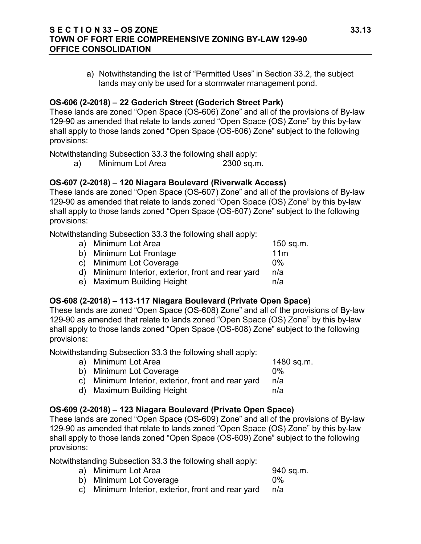### **S E C T I O N 33 – OS ZONE 33.13 TOWN OF FORT ERIE COMPREHENSIVE ZONING BY-LAW 129-90 OFFICE CONSOLIDATION**

a) Notwithstanding the list of "Permitted Uses" in Section 33.2, the subject lands may only be used for a stormwater management pond.

### **OS-606 (2-2018) – 22 Goderich Street (Goderich Street Park)**

These lands are zoned "Open Space (OS-606) Zone" and all of the provisions of By-law 129-90 as amended that relate to lands zoned "Open Space (OS) Zone" by this by-law shall apply to those lands zoned "Open Space (OS-606) Zone" subject to the following provisions:

Notwithstanding Subsection 33.3 the following shall apply:

a) Minimum Lot Area 2300 sq.m.

# **OS-607 (2-2018) – 120 Niagara Boulevard (Riverwalk Access)**

These lands are zoned "Open Space (OS-607) Zone" and all of the provisions of By-law 129-90 as amended that relate to lands zoned "Open Space (OS) Zone" by this by-law shall apply to those lands zoned "Open Space (OS-607) Zone" subject to the following provisions:

Notwithstanding Subsection 33.3 the following shall apply:

| a) Minimum Lot Area                                | $150$ sq.m.     |
|----------------------------------------------------|-----------------|
| b) Minimum Lot Frontage                            | 11 <sub>m</sub> |
| c) Minimum Lot Coverage                            | በ%              |
| d) Minimum Interior, exterior, front and rear yard | n/a             |
| e) Maximum Building Height                         | n/a             |

# **OS-608 (2-2018) – 113-117 Niagara Boulevard (Private Open Space)**

These lands are zoned "Open Space (OS-608) Zone" and all of the provisions of By-law 129-90 as amended that relate to lands zoned "Open Space (OS) Zone" by this by-law shall apply to those lands zoned "Open Space (OS-608) Zone" subject to the following provisions:

Notwithstanding Subsection 33.3 the following shall apply:

a) Minimum Lot Area 1480 sq.m.

- b) Minimum Lot Coverage 0% c) Minimum Interior, exterior, front and rear yard n/a
- d) Maximum Building Height **n/a**

# **OS-609 (2-2018) – 123 Niagara Boulevard (Private Open Space)**

These lands are zoned "Open Space (OS-609) Zone" and all of the provisions of By-law 129-90 as amended that relate to lands zoned "Open Space (OS) Zone" by this by-law shall apply to those lands zoned "Open Space (OS-609) Zone" subject to the following provisions:

Notwithstanding Subsection 33.3 the following shall apply:

- a) Minimum Lot Area 940 sq.m. b) Minimum Lot Coverage 0%
- c) Minimum Interior, exterior, front and rear yard n/a